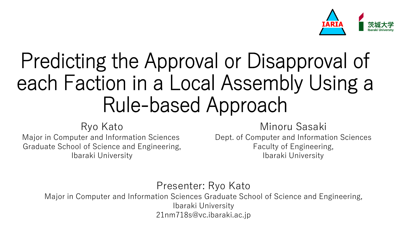

# Predicting the Approval or Disapproval of each Faction in a Local Assembly Using a Rule-based Approach

#### Ryo Kato

Major in Computer and Information Sciences Graduate School of Science and Engineering, Ibaraki University

#### Minoru Sasaki

Dept. of Computer and Information Sciences Faculty of Engineering, Ibaraki University

#### Presenter: Ryo Kato

Major in Computer and Information Sciences Graduate School of Science and Engineering, Ibaraki University 21nm718s@vc.ibaraki.ac.jp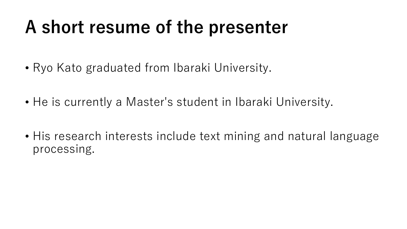# **A short resume of the presenter**

- Ryo Kato graduated from Ibaraki University.
- He is currently a Master's student in Ibaraki University.
- His research interests include text mining and natural language processing.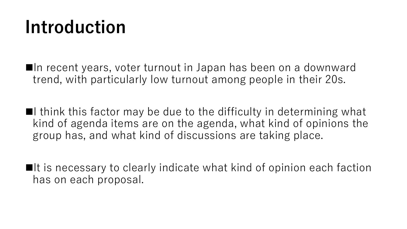# **Introduction**

■In recent years, voter turnout in Japan has been on a downward trend, with particularly low turnout among people in their 20s.

 $\blacksquare$ I think this factor may be due to the difficulty in determining what kind of agenda items are on the agenda, what kind of opinions the group has, and what kind of discussions are taking place.

■It is necessary to clearly indicate what kind of opinion each faction has on each proposal.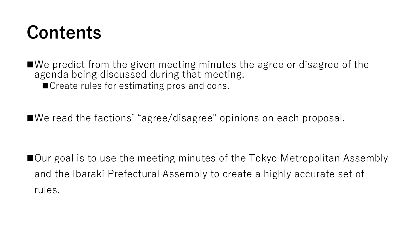## **Contents**

■We predict from the given meeting minutes the agree or disagree of the agenda being discussed during that meeting. ■ Create rules for estimating pros and cons.

◼We read the factions' "agree/disagree" opinions on each proposal.

■Our goal is to use the meeting minutes of the Tokyo Metropolitan Assembly and the Ibaraki Prefectural Assembly to create a highly accurate set of rules.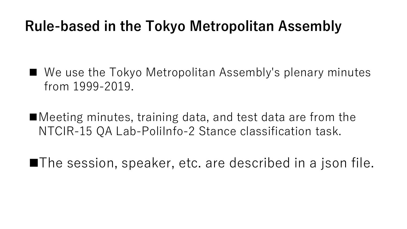#### **Rule-based in the Tokyo Metropolitan Assembly**

- We use the Tokyo Metropolitan Assembly's plenary minutes from 1999-2019.
- ■Meeting minutes, training data, and test data are from the NTCIR-15 QA Lab-PoliInfo-2 Stance classification task.
- ■The session, speaker, etc. are described in a json file.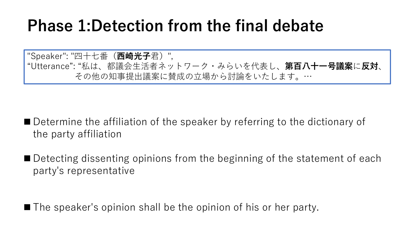### **Phase 1:Detection from the final debate**

"Speaker": "四十七番(**西崎光子**君)", "Utterance": "私は、都議会生活者ネットワーク・みらいを代表し、**第百八十一号議案**に**反対**、 その他の知事提出議案に賛成の立場から討論をいたします。…

■ Determine the affiliation of the speaker by referring to the dictionary of the party affiliation

■ Detecting dissenting opinions from the beginning of the statement of each party's representative

■ The speaker's opinion shall be the opinion of his or her party.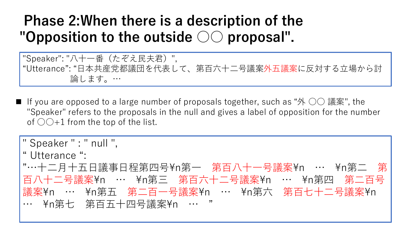#### **Phase 2:When there is a description of the "Opposition to the outside ○○ proposal".**

"Speaker": "八十一番(たぞえ民夫君)", "Utterance": "日本共産党都議団を代表して、第百六十二号議案外五議案に反対する立場から討 論します。…

■ If you are opposed to a large number of proposals together, such as "外 ○○ 議案", the "Speaker" refers to the proposals in the null and gives a label of opposition for the number of  $\bigcirc$   $\bigcirc$  +1 from the top of the list.

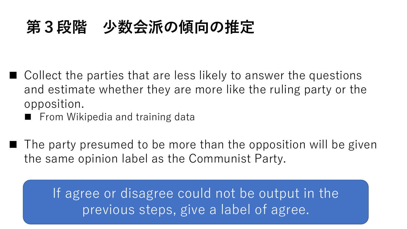### **第3段階 少数会派の傾向の推定**

- Collect the parties that are less likely to answer the questions and estimate whether they are more like the ruling party or the opposition.
	- From Wikipedia and training data
- The party presumed to be more than the opposition will be given the same opinion label as the Communist Party.

If agree or disagree could not be output in the previous steps, give a label of agree.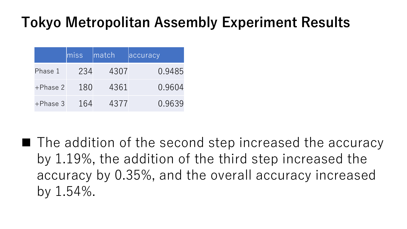### **Tokyo Metropolitan Assembly Experiment Results**

|             | $\overline{\text{miss}}$ | match | accuracy |
|-------------|--------------------------|-------|----------|
| Phase 1     | 234                      | 4307  | 0.9485   |
| $+Phase2$   | 180                      | 4361  | 0.9604   |
| $+$ Phase 3 | 164                      | 4377  | 0.9639   |

■ The addition of the second step increased the accuracy by 1.19%, the addition of the third step increased the accuracy by 0.35%, and the overall accuracy increased by 1.54%.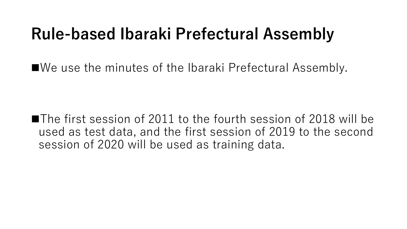### **Rule-based Ibaraki Prefectural Assembly**

■We use the minutes of the Ibaraki Prefectural Assembly.

■The first session of 2011 to the fourth session of 2018 will be used as test data, and the first session of 2019 to the second session of 2020 will be used as training data.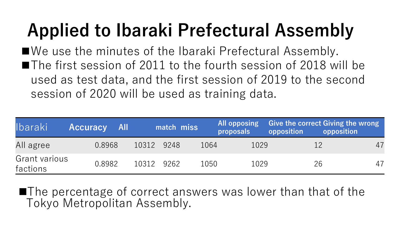# **Applied to Ibaraki Prefectural Assembly**

■We use the minutes of the Ibaraki Prefectural Assembly. ■The first session of 2011 to the fourth session of 2018 will be used as test data, and the first session of 2019 to the second session of 2020 will be used as training data.

| Ibaraki                   | <b>Accuracy</b> | <b>All</b> |            | match miss |      | proposals | All opposing Give the correct Giving the wrong<br>opposition | opposition |
|---------------------------|-----------------|------------|------------|------------|------|-----------|--------------------------------------------------------------|------------|
| All agree                 | 0.8968          |            | 10312 9248 |            | 1064 | 1029      |                                                              | 47         |
| Grant various<br>factions | 0.8982          |            | 10312 9262 |            | 1050 | 1029      | 26                                                           | 47         |

■The percentage of correct answers was lower than that of the Tokyo Metropolitan Assembly.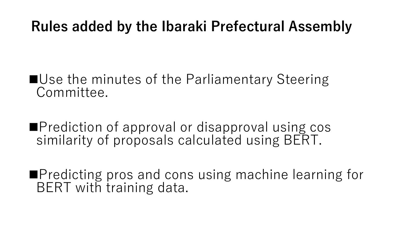#### **Rules added by the Ibaraki Prefectural Assembly**

#### ■Use the minutes of the Parliamentary Steering Committee.

■Prediction of approval or disapproval using cos similarity of proposals calculated using BERT.

■Predicting pros and cons using machine learning for BERT with training data.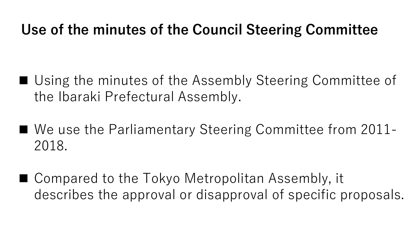#### **Use of the minutes of the Council Steering Committee**

- Using the minutes of the Assembly Steering Committee of the Ibaraki Prefectural Assembly.
- We use the Parliamentary Steering Committee from 2011-2018.
- Compared to the Tokyo Metropolitan Assembly, it describes the approval or disapproval of specific proposals.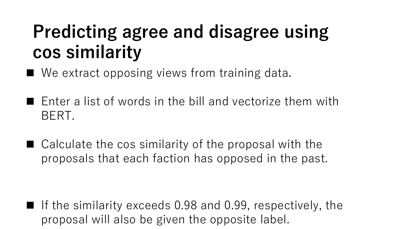# **Predicting agree and disagree using cos similarity**

- We extract opposing views from training data.
- Enter a list of words in the bill and vectorize them with BERT.
- Calculate the cos similarity of the proposal with the proposals that each faction has opposed in the past.

■ If the similarity exceeds 0.98 and 0.99, respectively, the proposal will also be given the opposite label.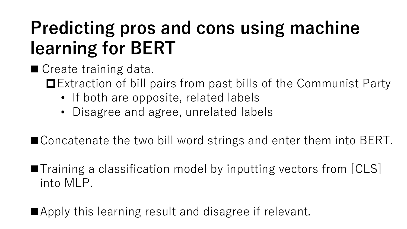# **Predicting pros and cons using machine learning for BERT**

- Create training data.
	- ■Extraction of bill pairs from past bills of the Communist Party
		- If both are opposite, related labels
		- Disagree and agree, unrelated labels
- Concatenate the two bill word strings and enter them into BERT.
- ■Training a classification model by inputting vectors from [CLS] into MLP.
- ■Apply this learning result and disagree if relevant.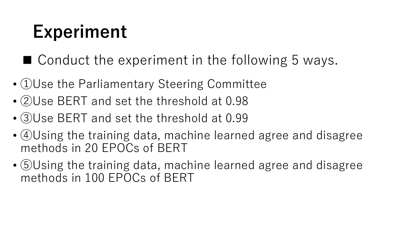# **Experiment**

- Conduct the experiment in the following 5 ways.
- ①Use the Parliamentary Steering Committee
- ②Use BERT and set the threshold at 0.98
- ③Use BERT and set the threshold at 0.99
- ④Using the training data, machine learned agree and disagree methods in 20 EPOCs of BERT
- ⑤Using the training data, machine learned agree and disagree methods in 100 EPOCs of BERT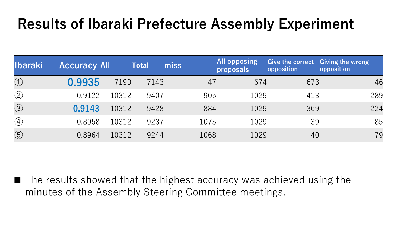#### **Results of Ibaraki Prefecture Assembly Experiment**

| <b>Ibaraki</b> | <b>Accuracy All</b> |       | miss<br><b>Total</b> |      | All opposing<br>proposals | Give the correct Giving the wrong<br>opposition | opposition |
|----------------|---------------------|-------|----------------------|------|---------------------------|-------------------------------------------------|------------|
| $\bigcirc$     | 0.9935              | 7190  | 7143                 | 47   | 674                       | 673                                             | 46         |
| $\circled{2}$  | 0.9122              | 10312 | 9407                 | 905  | 1029                      | 413                                             | 289        |
| $\circled{3}$  | 0.9143              | 10312 | 9428                 | 884  | 1029                      | 369                                             | 224        |
| $\circled{4}$  | 0.8958              | 10312 | 9237                 | 1075 | 1029                      | 39                                              | 85         |
| $\circledS$    | 0.8964              | 10312 | 9244                 | 1068 | 1029                      | 40                                              | 79         |

■ The results showed that the highest accuracy was achieved using the minutes of the Assembly Steering Committee meetings.